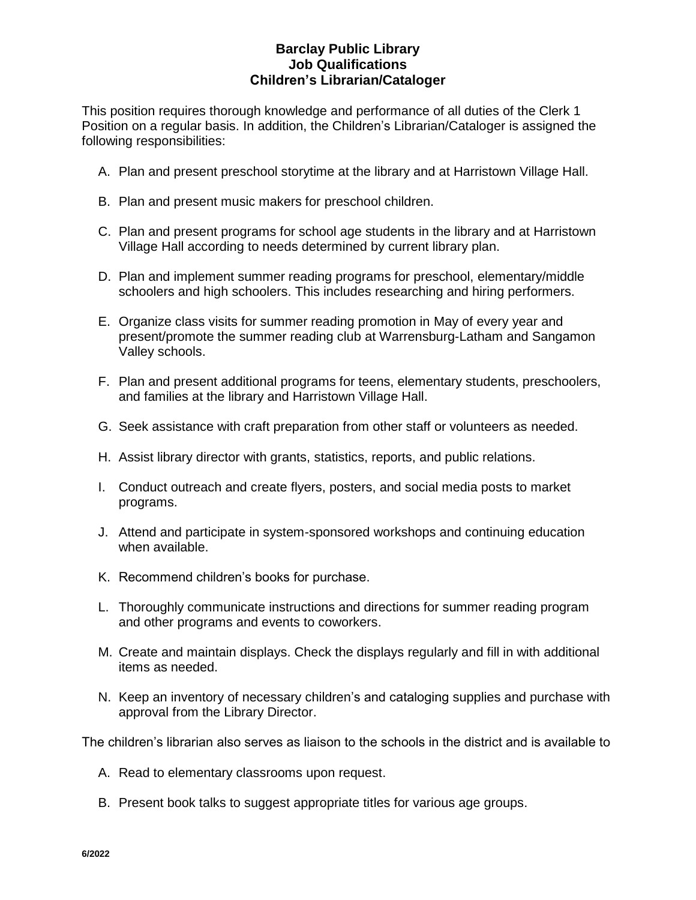## **Barclay Public Library Job Qualifications Children's Librarian/Cataloger**

This position requires thorough knowledge and performance of all duties of the Clerk 1 Position on a regular basis. In addition, the Children's Librarian/Cataloger is assigned the following responsibilities:

- A. Plan and present preschool storytime at the library and at Harristown Village Hall.
- B. Plan and present music makers for preschool children.
- C. Plan and present programs for school age students in the library and at Harristown Village Hall according to needs determined by current library plan.
- D. Plan and implement summer reading programs for preschool, elementary/middle schoolers and high schoolers. This includes researching and hiring performers.
- E. Organize class visits for summer reading promotion in May of every year and present/promote the summer reading club at Warrensburg-Latham and Sangamon Valley schools.
- F. Plan and present additional programs for teens, elementary students, preschoolers, and families at the library and Harristown Village Hall.
- G. Seek assistance with craft preparation from other staff or volunteers as needed.
- H. Assist library director with grants, statistics, reports, and public relations.
- I. Conduct outreach and create flyers, posters, and social media posts to market programs.
- J. Attend and participate in system-sponsored workshops and continuing education when available.
- K. Recommend children's books for purchase.
- L. Thoroughly communicate instructions and directions for summer reading program and other programs and events to coworkers.
- M. Create and maintain displays. Check the displays regularly and fill in with additional items as needed.
- N. Keep an inventory of necessary children's and cataloging supplies and purchase with approval from the Library Director.

The children's librarian also serves as liaison to the schools in the district and is available to

- A. Read to elementary classrooms upon request.
- B. Present book talks to suggest appropriate titles for various age groups.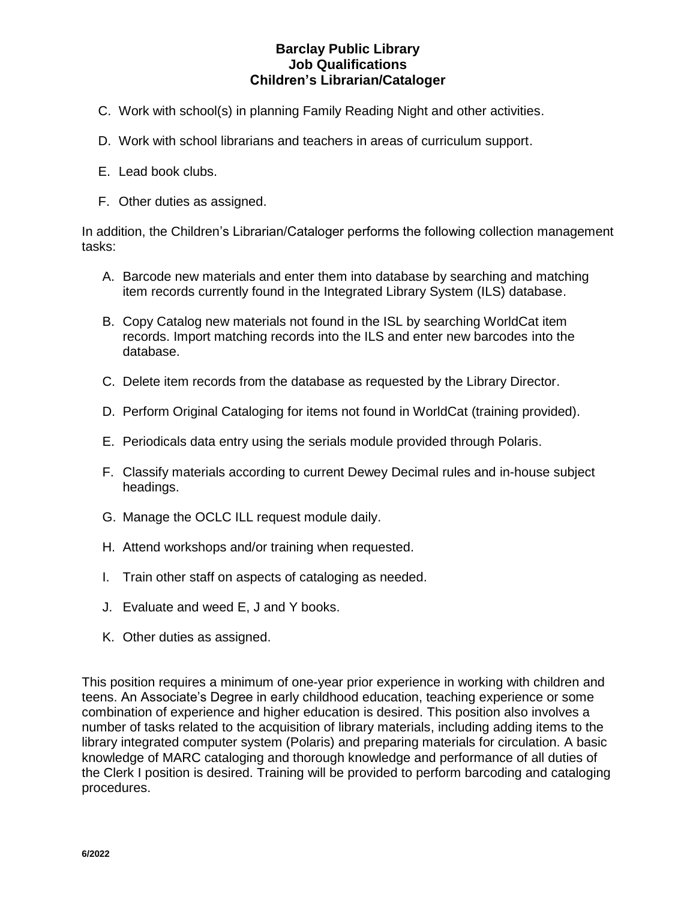# **Barclay Public Library Job Qualifications Children's Librarian/Cataloger**

- C. Work with school(s) in planning Family Reading Night and other activities.
- D. Work with school librarians and teachers in areas of curriculum support.
- E. Lead book clubs.
- F. Other duties as assigned.

In addition, the Children's Librarian/Cataloger performs the following collection management tasks:

- A. Barcode new materials and enter them into database by searching and matching item records currently found in the Integrated Library System (ILS) database.
- B. Copy Catalog new materials not found in the ISL by searching WorldCat item records. Import matching records into the ILS and enter new barcodes into the database.
- C. Delete item records from the database as requested by the Library Director.
- D. Perform Original Cataloging for items not found in WorldCat (training provided).
- E. Periodicals data entry using the serials module provided through Polaris.
- F. Classify materials according to current Dewey Decimal rules and in-house subject headings.
- G. Manage the OCLC ILL request module daily.
- H. Attend workshops and/or training when requested.
- I. Train other staff on aspects of cataloging as needed.
- J. Evaluate and weed E, J and Y books.
- K. Other duties as assigned.

This position requires a minimum of one-year prior experience in working with children and teens. An Associate's Degree in early childhood education, teaching experience or some combination of experience and higher education is desired. This position also involves a number of tasks related to the acquisition of library materials, including adding items to the library integrated computer system (Polaris) and preparing materials for circulation. A basic knowledge of MARC cataloging and thorough knowledge and performance of all duties of the Clerk I position is desired. Training will be provided to perform barcoding and cataloging procedures.